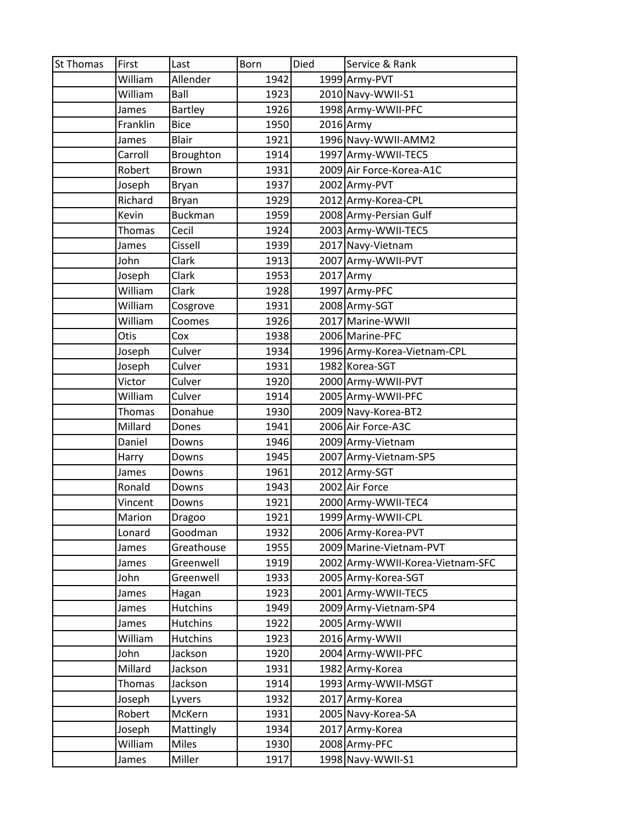| <b>St Thomas</b> | First         | Last            | Born | Died | Service & Rank                   |
|------------------|---------------|-----------------|------|------|----------------------------------|
|                  | William       | Allender        | 1942 |      | 1999 Army-PVT                    |
|                  | William       | Ball            | 1923 |      | 2010 Navy-WWII-S1                |
|                  | James         | <b>Bartley</b>  | 1926 |      | 1998 Army-WWII-PFC               |
|                  | Franklin      | <b>Bice</b>     | 1950 |      | $2016$ Army                      |
|                  | James         | <b>Blair</b>    | 1921 |      | 1996 Navy-WWII-AMM2              |
|                  | Carroll       | Broughton       | 1914 |      | 1997 Army-WWII-TEC5              |
|                  | Robert        | <b>Brown</b>    | 1931 |      | 2009 Air Force-Korea-A1C         |
|                  | Joseph        | Bryan           | 1937 |      | 2002 Army-PVT                    |
|                  | Richard       | Bryan           | 1929 |      | 2012 Army-Korea-CPL              |
|                  | Kevin         | <b>Buckman</b>  | 1959 |      | 2008 Army-Persian Gulf           |
|                  | Thomas        | Cecil           | 1924 |      | 2003 Army-WWII-TEC5              |
|                  | James         | Cissell         | 1939 |      | 2017 Navy-Vietnam                |
|                  | John          | Clark           | 1913 |      | 2007 Army-WWII-PVT               |
|                  | Joseph        | Clark           | 1953 |      | 2017 Army                        |
|                  | William       | Clark           | 1928 |      | 1997 Army-PFC                    |
|                  | William       | Cosgrove        | 1931 |      | 2008 Army-SGT                    |
|                  | William       | Coomes          | 1926 |      | 2017 Marine-WWII                 |
|                  | Otis          | Cox             | 1938 |      | 2006 Marine-PFC                  |
|                  | Joseph        | Culver          | 1934 |      | 1996 Army-Korea-Vietnam-CPL      |
|                  | Joseph        | Culver          | 1931 |      | 1982 Korea-SGT                   |
|                  | Victor        | Culver          | 1920 |      | 2000 Army-WWII-PVT               |
|                  | William       | Culver          | 1914 |      | 2005 Army-WWII-PFC               |
|                  | Thomas        | Donahue         | 1930 |      | 2009 Navy-Korea-BT2              |
|                  | Millard       | Dones           | 1941 |      | 2006 Air Force-A3C               |
|                  | Daniel        | Downs           | 1946 |      | 2009 Army-Vietnam                |
|                  | Harry         | Downs           | 1945 |      | 2007 Army-Vietnam-SP5            |
|                  | James         | Downs           | 1961 |      | 2012 Army-SGT                    |
|                  | Ronald        | Downs           | 1943 |      | 2002 Air Force                   |
|                  | Vincent       | Downs           | 1921 |      | 2000 Army-WWII-TEC4              |
|                  | Marion        | Dragoo          | 1921 |      | 1999 Army-WWII-CPL               |
|                  | Lonard        | Goodman         | 1932 |      | 2006 Army-Korea-PVT              |
|                  | James         | Greathouse      | 1955 |      | 2009 Marine-Vietnam-PVT          |
|                  | James         | Greenwell       | 1919 |      | 2002 Army-WWII-Korea-Vietnam-SFC |
|                  | John          | Greenwell       | 1933 |      | 2005 Army-Korea-SGT              |
|                  | James         | Hagan           | 1923 |      | 2001 Army-WWII-TEC5              |
|                  | James         | <b>Hutchins</b> | 1949 |      | 2009 Army-Vietnam-SP4            |
|                  | James         | <b>Hutchins</b> | 1922 |      | 2005 Army-WWII                   |
|                  | William       | <b>Hutchins</b> | 1923 |      | 2016 Army-WWII                   |
|                  | John          | Jackson         | 1920 |      | 2004 Army-WWII-PFC               |
|                  | Millard       | Jackson         | 1931 |      | 1982 Army-Korea                  |
|                  | <b>Thomas</b> | Jackson         | 1914 |      | 1993 Army-WWII-MSGT              |
|                  | Joseph        | Lyvers          | 1932 |      | 2017 Army-Korea                  |
|                  | Robert        | McKern          | 1931 |      | 2005 Navy-Korea-SA               |
|                  | Joseph        | Mattingly       | 1934 |      | 2017 Army-Korea                  |
|                  | William       | <b>Miles</b>    | 1930 |      | 2008 Army-PFC                    |
|                  | James         | Miller          | 1917 |      | 1998 Navy-WWII-S1                |